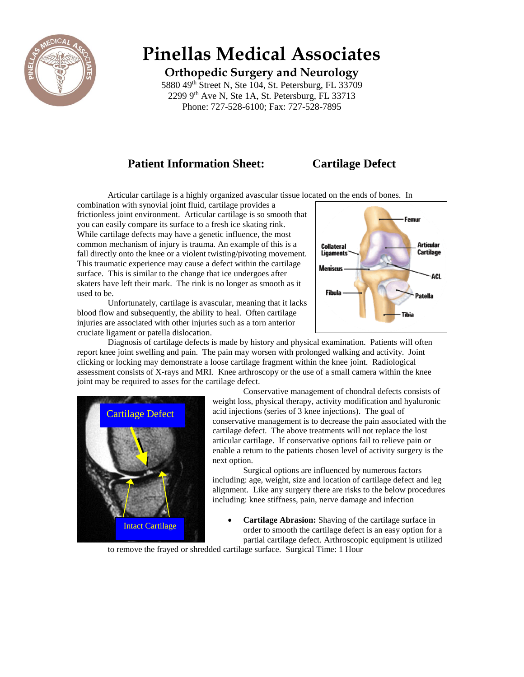

# **Pinellas Medical Associates**

**Orthopedic Surgery and Neurology**

5880 49<sup>th</sup> Street N, Ste 104, St. Petersburg, FL 33709 2299 9th Ave N, Ste 1A, St. Petersburg, FL 33713 Phone: 727-528-6100; Fax: 727-528-7895

# **Patient Information Sheet:** Cartilage Defect

Articular cartilage is a highly organized avascular tissue located on the ends of bones. In

combination with synovial joint fluid, cartilage provides a frictionless joint environment. Articular cartilage is so smooth that you can easily compare its surface to a fresh ice skating rink. While cartilage defects may have a genetic influence, the most common mechanism of injury is trauma. An example of this is a fall directly onto the knee or a violent twisting/pivoting movement. This traumatic experience may cause a defect within the cartilage surface. This is similar to the change that ice undergoes after skaters have left their mark. The rink is no longer as smooth as it used to be.

Unfortunately, cartilage is avascular, meaning that it lacks blood flow and subsequently, the ability to heal. Often cartilage injuries are associated with other injuries such as a torn anterior cruciate ligament or patella dislocation.



Diagnosis of cartilage defects is made by history and physical examination. Patients will often report knee joint swelling and pain. The pain may worsen with prolonged walking and activity. Joint clicking or locking may demonstrate a loose cartilage fragment within the knee joint. Radiological assessment consists of X-rays and MRI. Knee arthroscopy or the use of a small camera within the knee joint may be required to asses for the cartilage defect.



Conservative management of chondral defects consists of weight loss, physical therapy, activity modification and hyaluronic acid injections (series of 3 knee injections). The goal of conservative management is to decrease the pain associated with the cartilage defect. The above treatments will not replace the lost articular cartilage. If conservative options fail to relieve pain or enable a return to the patients chosen level of activity surgery is the next option.

Surgical options are influenced by numerous factors including: age, weight, size and location of cartilage defect and leg alignment. Like any surgery there are risks to the below procedures including: knee stiffness, pain, nerve damage and infection

 **Cartilage Abrasion:** Shaving of the cartilage surface in order to smooth the cartilage defect is an easy option for a partial cartilage defect. Arthroscopic equipment is utilized

to remove the frayed or shredded cartilage surface. Surgical Time: 1 Hour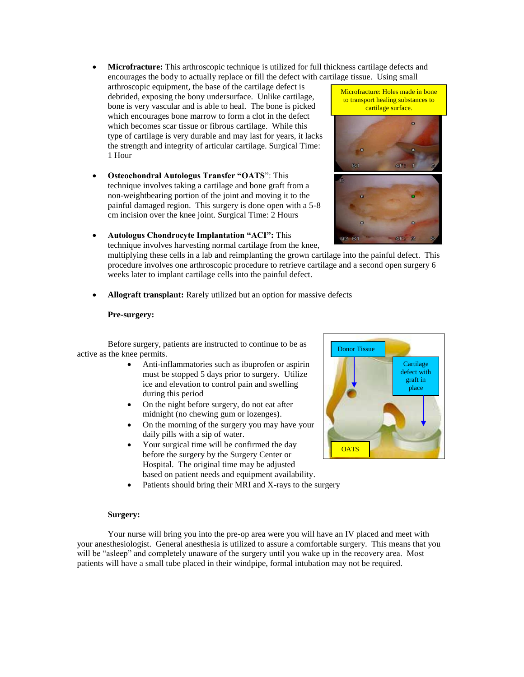- **Microfracture:** This arthroscopic technique is utilized for full thickness cartilage defects and encourages the body to actually replace or fill the defect with cartilage tissue. Using small
- arthroscopic equipment, the base of the cartilage defect is debrided, exposing the bony undersurface. Unlike cartilage, bone is very vascular and is able to heal. The bone is picked which encourages bone marrow to form a clot in the defect which becomes scar tissue or fibrous cartilage. While this type of cartilage is very durable and may last for years, it lacks the strength and integrity of articular cartilage. Surgical Time: 1 Hour
- **Osteochondral Autologus Transfer "OATS**": This technique involves taking a cartilage and bone graft from a non-weightbearing portion of the joint and moving it to the painful damaged region. This surgery is done open with a 5-8 cm incision over the knee joint. Surgical Time: 2 Hours
- **Autologus Chondrocyte Implantation "ACI":** This

technique involves harvesting normal cartilage from the knee, multiplying these cells in a lab and reimplanting the grown cartilage into the painful defect. This procedure involves one arthroscopic procedure to retrieve cartilage and a second open surgery 6 weeks later to implant cartilage cells into the painful defect.

**Allograft transplant:** Rarely utilized but an option for massive defects

#### **Pre-surgery:**

Before surgery, patients are instructed to continue to be as active as the knee permits.

- Anti-inflammatories such as ibuprofen or aspirin must be stopped 5 days prior to surgery. Utilize ice and elevation to control pain and swelling during this period
- On the night before surgery, do not eat after midnight (no chewing gum or lozenges).
- On the morning of the surgery you may have your daily pills with a sip of water.
- Your surgical time will be confirmed the day before the surgery by the Surgery Center or Hospital. The original time may be adjusted based on patient needs and equipment availability.
- Patients should bring their MRI and X-rays to the surgery

#### **Surgery:**

Your nurse will bring you into the pre-op area were you will have an IV placed and meet with your anesthesiologist. General anesthesia is utilized to assure a comfortable surgery. This means that you will be "asleep" and completely unaware of the surgery until you wake up in the recovery area. Most patients will have a small tube placed in their windpipe, formal intubation may not be required.



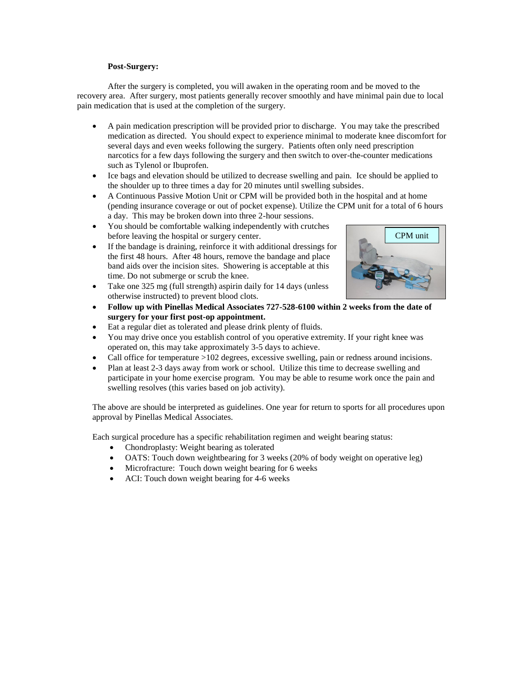#### **Post-Surgery:**

After the surgery is completed, you will awaken in the operating room and be moved to the recovery area. After surgery, most patients generally recover smoothly and have minimal pain due to local pain medication that is used at the completion of the surgery.

- A pain medication prescription will be provided prior to discharge. You may take the prescribed medication as directed. You should expect to experience minimal to moderate knee discomfort for several days and even weeks following the surgery. Patients often only need prescription narcotics for a few days following the surgery and then switch to over-the-counter medications such as Tylenol or Ibuprofen.
- Ice bags and elevation should be utilized to decrease swelling and pain. Ice should be applied to the shoulder up to three times a day for 20 minutes until swelling subsides.
- A Continuous Passive Motion Unit or CPM will be provided both in the hospital and at home (pending insurance coverage or out of pocket expense). Utilize the CPM unit for a total of 6 hours a day. This may be broken down into three 2-hour sessions.
- You should be comfortable walking independently with crutches before leaving the hospital or surgery center.
- If the bandage is draining, reinforce it with additional dressings for the first 48 hours. After 48 hours, remove the bandage and place band aids over the incision sites. Showering is acceptable at this time. Do not submerge or scrub the knee.
- Take one 325 mg (full strength) aspirin daily for 14 days (unless otherwise instructed) to prevent blood clots.
- **Follow up with Pinellas Medical Associates 727-528-6100 within 2 weeks from the date of surgery for your first post-op appointment.**
- Eat a regular diet as tolerated and please drink plenty of fluids.
- You may drive once you establish control of you operative extremity. If your right knee was operated on, this may take approximately 3-5 days to achieve.
- Call office for temperature >102 degrees, excessive swelling, pain or redness around incisions.
- Plan at least 2-3 days away from work or school. Utilize this time to decrease swelling and participate in your home exercise program. You may be able to resume work once the pain and swelling resolves (this varies based on job activity).

The above are should be interpreted as guidelines. One year for return to sports for all procedures upon approval by Pinellas Medical Associates.

Each surgical procedure has a specific rehabilitation regimen and weight bearing status:

- Chondroplasty: Weight bearing as tolerated
- OATS: Touch down weightbearing for 3 weeks (20% of body weight on operative leg)
- Microfracture: Touch down weight bearing for 6 weeks
- ACI: Touch down weight bearing for 4-6 weeks

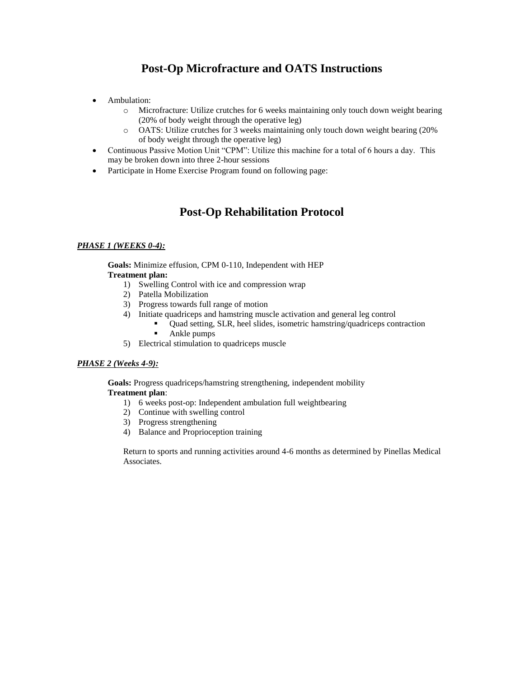# **Post-Op Microfracture and OATS Instructions**

- Ambulation:
	- o Microfracture: Utilize crutches for 6 weeks maintaining only touch down weight bearing (20% of body weight through the operative leg)
	- o OATS: Utilize crutches for 3 weeks maintaining only touch down weight bearing (20% of body weight through the operative leg)
- Continuous Passive Motion Unit "CPM": Utilize this machine for a total of 6 hours a day. This may be broken down into three 2-hour sessions
- Participate in Home Exercise Program found on following page:

# **Post-Op Rehabilitation Protocol**

#### *PHASE 1 (WEEKS 0-4):*

**Goals:** Minimize effusion, CPM 0-110, Independent with HEP **Treatment plan:**

- 1) Swelling Control with ice and compression wrap
- 2) Patella Mobilization
- 3) Progress towards full range of motion
- 4) Initiate quadriceps and hamstring muscle activation and general leg control
	- Quad setting, SLR, heel slides, isometric hamstring/quadriceps contraction
	- Ankle pumps
- 5) Electrical stimulation to quadriceps muscle

#### *PHASE 2 (Weeks 4-9):*

**Goals:** Progress quadriceps/hamstring strengthening, independent mobility **Treatment plan**:

- 1) 6 weeks post-op: Independent ambulation full weightbearing
- 2) Continue with swelling control
- 3) Progress strengthening
- 4) Balance and Proprioception training

Return to sports and running activities around 4-6 months as determined by Pinellas Medical Associates.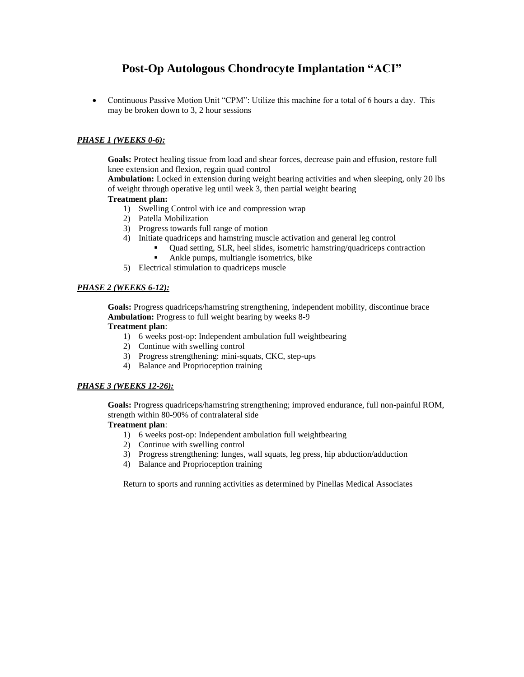# **Post-Op Autologous Chondrocyte Implantation "ACI"**

• Continuous Passive Motion Unit "CPM": Utilize this machine for a total of 6 hours a day. This may be broken down to 3, 2 hour sessions

### *PHASE 1 (WEEKS 0-6):*

**Goals:** Protect healing tissue from load and shear forces, decrease pain and effusion, restore full knee extension and flexion, regain quad control

**Ambulation:** Locked in extension during weight bearing activities and when sleeping, only 20 lbs of weight through operative leg until week 3, then partial weight bearing

#### **Treatment plan:**

- 1) Swelling Control with ice and compression wrap
- 2) Patella Mobilization
- 3) Progress towards full range of motion
- 4) Initiate quadriceps and hamstring muscle activation and general leg control
	- Quad setting, SLR, heel slides, isometric hamstring/quadriceps contraction
	- Ankle pumps, multiangle isometrics, bike
- 5) Electrical stimulation to quadriceps muscle

#### *PHASE 2 (WEEKS 6-12):*

**Goals:** Progress quadriceps/hamstring strengthening, independent mobility, discontinue brace **Ambulation:** Progress to full weight bearing by weeks 8-9

#### **Treatment plan**:

- 1) 6 weeks post-op: Independent ambulation full weightbearing
- 2) Continue with swelling control
- 3) Progress strengthening: mini-squats, CKC, step-ups
- 4) Balance and Proprioception training

#### *PHASE 3 (WEEKS 12-26):*

**Goals:** Progress quadriceps/hamstring strengthening; improved endurance, full non-painful ROM, strength within 80-90% of contralateral side

### **Treatment plan**:

- 1) 6 weeks post-op: Independent ambulation full weightbearing
- 2) Continue with swelling control
- 3) Progress strengthening: lunges, wall squats, leg press, hip abduction/adduction
- 4) Balance and Proprioception training

Return to sports and running activities as determined by Pinellas Medical Associates